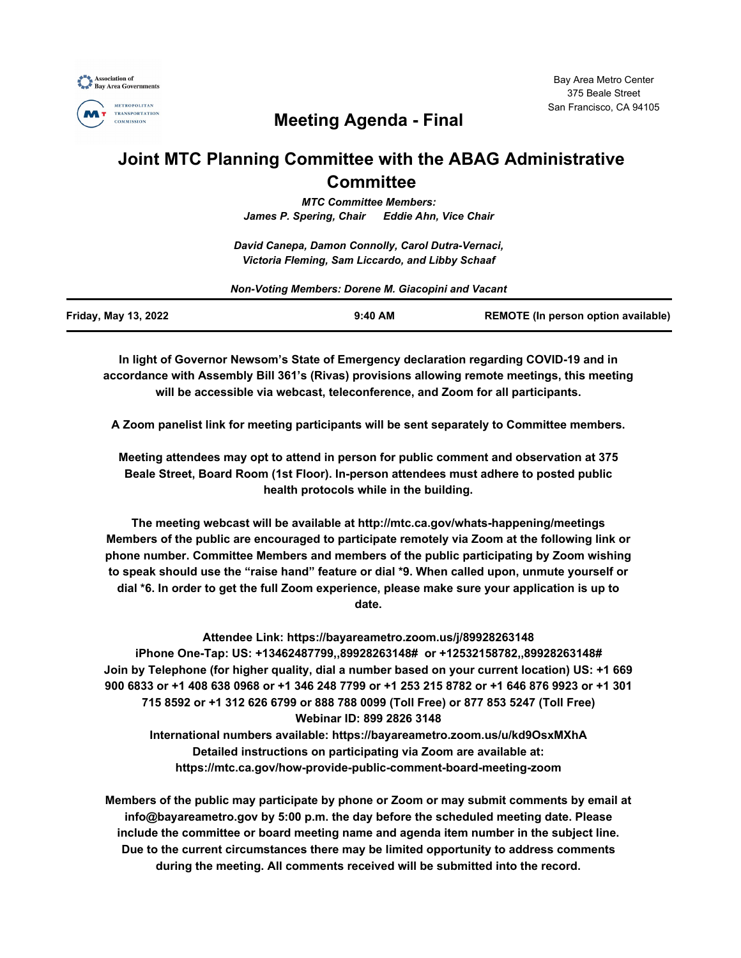



# **Meeting Agenda - Final**

# **Joint MTC Planning Committee with the ABAG Administrative Committee**

*MTC Committee Members: James P. Spering, Chair Eddie Ahn, Vice Chair*

*David Canepa, Damon Connolly, Carol Dutra-Vernaci, Victoria Fleming, Sam Liccardo, and Libby Schaaf*

| Non-Voting Members: Dorene M. Giacopini and Vacant |           |                                     |
|----------------------------------------------------|-----------|-------------------------------------|
| Friday, May 13, 2022                               | $9:40$ AM | REMOTE (In person option available) |

**In light of Governor Newsom's State of Emergency declaration regarding COVID-19 and in accordance with Assembly Bill 361's (Rivas) provisions allowing remote meetings, this meeting will be accessible via webcast, teleconference, and Zoom for all participants.**

**A Zoom panelist link for meeting participants will be sent separately to Committee members.**

**Meeting attendees may opt to attend in person for public comment and observation at 375 Beale Street, Board Room (1st Floor). In-person attendees must adhere to posted public health protocols while in the building.**

**The meeting webcast will be available at http://mtc.ca.gov/whats-happening/meetings Members of the public are encouraged to participate remotely via Zoom at the following link or phone number. Committee Members and members of the public participating by Zoom wishing to speak should use the "raise hand" feature or dial \*9. When called upon, unmute yourself or dial \*6. In order to get the full Zoom experience, please make sure your application is up to date.**

**Attendee Link: https://bayareametro.zoom.us/j/89928263148 iPhone One-Tap: US: +13462487799,,89928263148# or +12532158782,,89928263148# Join by Telephone (for higher quality, dial a number based on your current location) US: +1 669 900 6833 or +1 408 638 0968 or +1 346 248 7799 or +1 253 215 8782 or +1 646 876 9923 or +1 301 715 8592 or +1 312 626 6799 or 888 788 0099 (Toll Free) or 877 853 5247 (Toll Free) Webinar ID: 899 2826 3148 International numbers available: https://bayareametro.zoom.us/u/kd9OsxMXhA**

> **Detailed instructions on participating via Zoom are available at: https://mtc.ca.gov/how-provide-public-comment-board-meeting-zoom**

**Members of the public may participate by phone or Zoom or may submit comments by email at info@bayareametro.gov by 5:00 p.m. the day before the scheduled meeting date. Please include the committee or board meeting name and agenda item number in the subject line. Due to the current circumstances there may be limited opportunity to address comments during the meeting. All comments received will be submitted into the record.**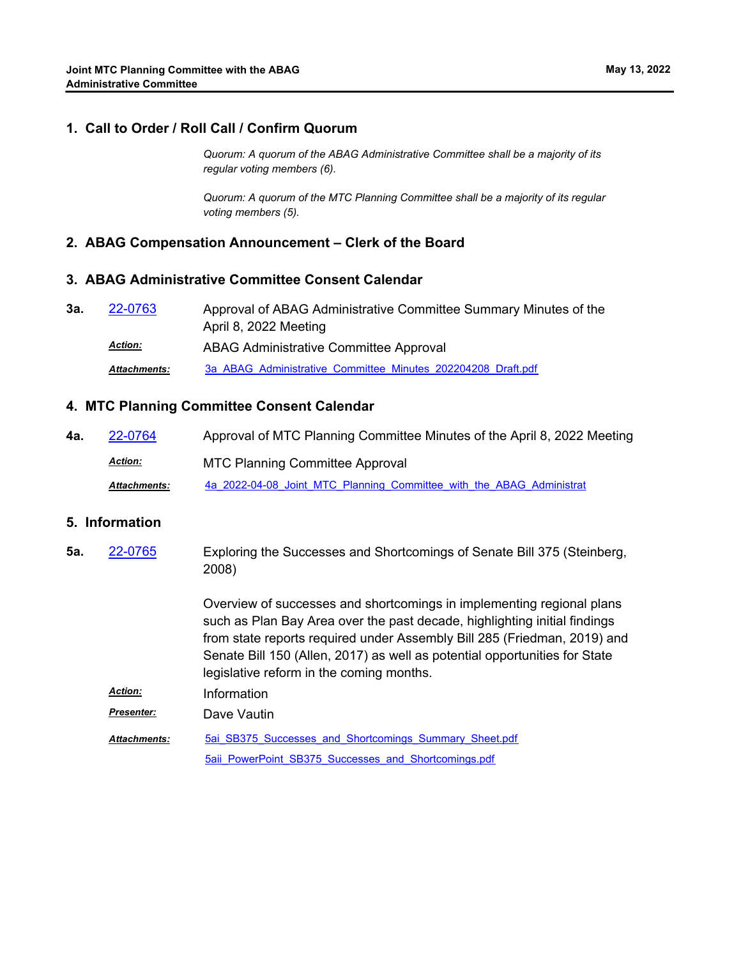## **1. Call to Order / Roll Call / Confirm Quorum**

*Quorum: A quorum of the ABAG Administrative Committee shall be a majority of its regular voting members (6).*

*Quorum: A quorum of the MTC Planning Committee shall be a majority of its regular voting members (5).*

### **2. ABAG Compensation Announcement – Clerk of the Board**

#### **3. ABAG Administrative Committee Consent Calendar**

Approval of ABAG Administrative Committee Summary Minutes of the April 8, 2022 Meeting **3a.** [22-0763](http://mtc.legistar.com/gateway.aspx?m=l&id=/matter.aspx?key=24022) ABAG Administrative Committee Approval *Action: Attachments:* [3a\\_ABAG\\_Administrative\\_Committee\\_Minutes\\_202204208\\_Draft.pdf](http://mtc.legistar.com/gateway.aspx?M=F&ID=fe18d4d1-1f8f-4e72-90c6-4be2229358a5.pdf)

### **4. MTC Planning Committee Consent Calendar**

**4a.** [22-0764](http://mtc.legistar.com/gateway.aspx?m=l&id=/matter.aspx?key=24023) Approval of MTC Planning Committee Minutes of the April 8, 2022 Meeting MTC Planning Committee Approval *Action:* Attachments: [4a\\_2022-04-08\\_Joint\\_MTC\\_Planning\\_Committee\\_with\\_the\\_ABAG\\_Administrat](http://mtc.legistar.com/gateway.aspx?M=F&ID=8f5276a6-3d21-4917-900c-0e402525802c.pdf)ive

#### **5. Information**

Exploring the Successes and Shortcomings of Senate Bill 375 (Steinberg, 2008) Overview of successes and shortcomings in implementing regional plans **5a.** [22-0765](http://mtc.legistar.com/gateway.aspx?m=l&id=/matter.aspx?key=24024)

such as Plan Bay Area over the past decade, highlighting initial findings from state reports required under Assembly Bill 285 (Friedman, 2019) and Senate Bill 150 (Allen, 2017) as well as potential opportunities for State legislative reform in the coming months.

*Action:* Information

*Presenter:* Dave Vautin

5ai SB375 Successes and Shortcomings Summary Sheet.pdf [5aii\\_PowerPoint\\_SB375\\_Successes\\_and\\_Shortcomings.pdf](http://mtc.legistar.com/gateway.aspx?M=F&ID=c5c97aef-0015-412e-959b-eebfec4611ad.pdf) *Attachments:*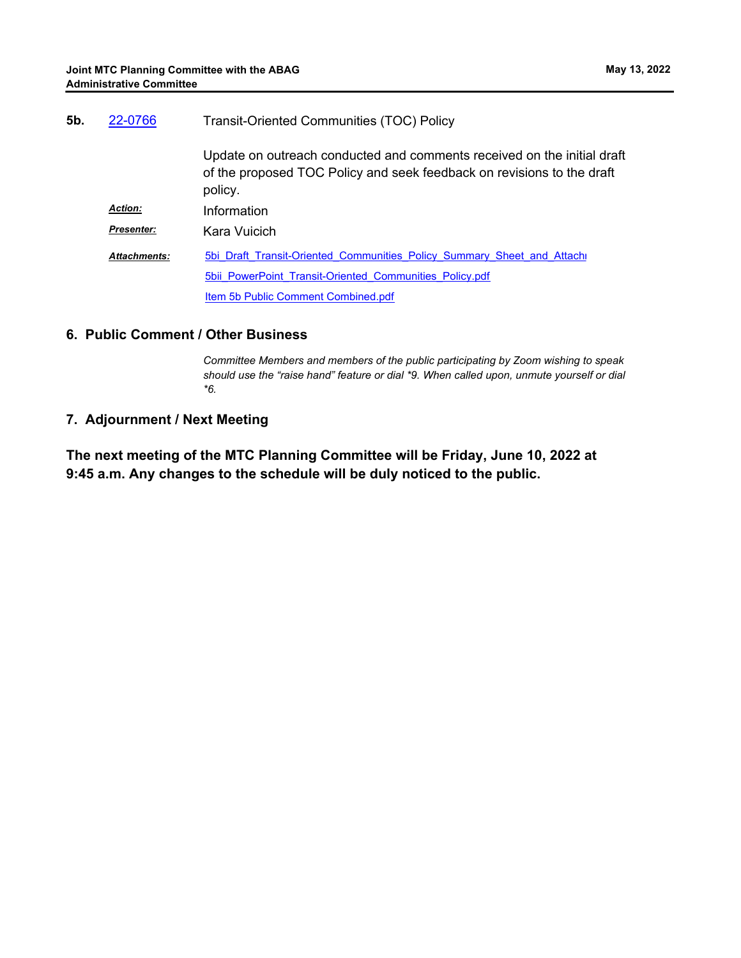| 5b. | 22-0766             | <b>Transit-Oriented Communities (TOC) Policy</b>                                                                                                             |
|-----|---------------------|--------------------------------------------------------------------------------------------------------------------------------------------------------------|
|     |                     | Update on outreach conducted and comments received on the initial draft<br>of the proposed TOC Policy and seek feedback on revisions to the draft<br>policy. |
|     | <b>Action:</b>      | Information                                                                                                                                                  |
|     | <b>Presenter:</b>   | Kara Vuicich                                                                                                                                                 |
|     | <b>Attachments:</b> | 5bi Draft Transit-Oriented Communities Policy Summary Sheet and Attach                                                                                       |
|     |                     | 5bii PowerPoint Transit-Oriented Communities Policy.pdf                                                                                                      |
|     |                     | Item 5b Public Comment Combined.pdf                                                                                                                          |

## **6. Public Comment / Other Business**

*Committee Members and members of the public participating by Zoom wishing to speak should use the "raise hand" feature or dial \*9. When called upon, unmute yourself or dial \*6.*

# **7. Adjournment / Next Meeting**

**The next meeting of the MTC Planning Committee will be Friday, June 10, 2022 at 9:45 a.m. Any changes to the schedule will be duly noticed to the public.**